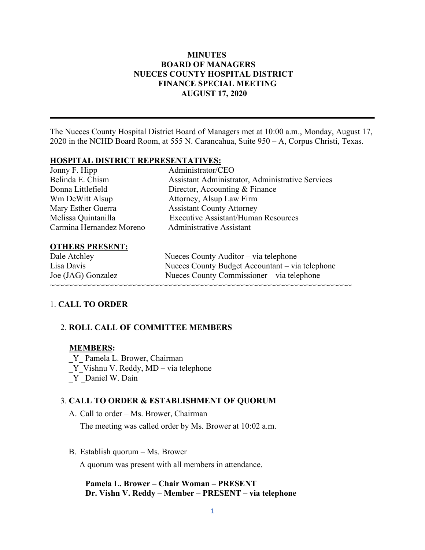## **MINUTES BOARD OF MANAGERS NUECES COUNTY HOSPITAL DISTRICT FINANCE SPECIAL MEETING AUGUST 17, 2020**

The Nueces County Hospital District Board of Managers met at 10:00 a.m., Monday, August 17, 2020 in the NCHD Board Room, at 555 N. Carancahua, Suite 950 – A, Corpus Christi, Texas.

### **HOSPITAL DISTRICT REPRESENTATIVES:**

| Jonny F. Hipp            | Administrator/CEO                                       |
|--------------------------|---------------------------------------------------------|
| Belinda E. Chism         | <b>Assistant Administrator, Administrative Services</b> |
| Donna Littlefield        | Director, Accounting & Finance                          |
| Wm DeWitt Alsup          | Attorney, Alsup Law Firm                                |
| Mary Esther Guerra       | <b>Assistant County Attorney</b>                        |
| Melissa Quintanilla      | <b>Executive Assistant/Human Resources</b>              |
| Carmina Hernandez Moreno | Administrative Assistant                                |
|                          |                                                         |

#### **OTHERS PRESENT:**

| Dale Atchley       | Nueces County Auditor – via telephone           |
|--------------------|-------------------------------------------------|
| Lisa Davis         | Nueces County Budget Accountant – via telephone |
| Joe (JAG) Gonzalez | Nueces County Commissioner – via telephone      |
|                    |                                                 |

### 1. **CALL TO ORDER**

### 2. **ROLL CALL OF COMMITTEE MEMBERS**

#### **MEMBERS:**

\_Y\_ Pamela L. Brower, Chairman Y Vishnu V. Reddy, MD – via telephone

Y Daniel W. Dain

#### 3. **CALL TO ORDER & ESTABLISHMENT OF QUORUM**

A. Call to order – Ms. Brower, Chairman

The meeting was called order by Ms. Brower at 10:02 a.m.

B. Establish quorum – Ms. Brower

A quorum was present with all members in attendance.

 **Pamela L. Brower – Chair Woman – PRESENT Dr. Vishn V. Reddy – Member – PRESENT – via telephone**